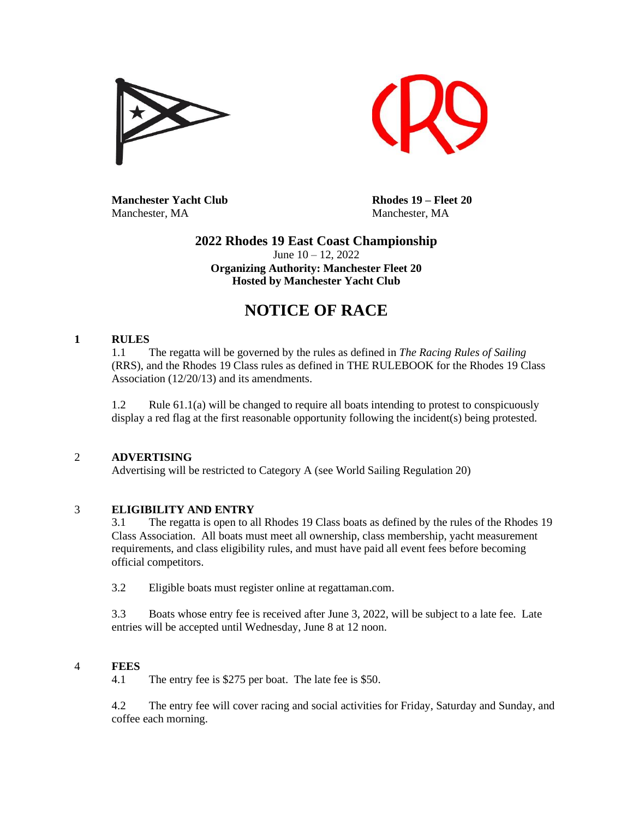



**Manchester Yacht Club Rhodes 19 – Fleet 20** Manchester, MA Manchester, MA

# **2022 Rhodes 19 East Coast Championship** June 10 – 12, 2022 **Organizing Authority: Manchester Fleet 20 Hosted by Manchester Yacht Club**

# **NOTICE OF RACE**

# **1 RULES**

1.1 The regatta will be governed by the rules as defined in *The Racing Rules of Sailing* (RRS), and the Rhodes 19 Class rules as defined in THE RULEBOOK for the Rhodes 19 Class Association (12/20/13) and its amendments.

1.2 Rule 61.1(a) will be changed to require all boats intending to protest to conspicuously display a red flag at the first reasonable opportunity following the incident(s) being protested.

# 2 **ADVERTISING**

Advertising will be restricted to Category A (see World Sailing Regulation 20)

# 3 **ELIGIBILITY AND ENTRY**

3.1 The regatta is open to all Rhodes 19 Class boats as defined by the rules of the Rhodes 19 Class Association. All boats must meet all ownership, class membership, yacht measurement requirements, and class eligibility rules, and must have paid all event fees before becoming official competitors.

3.2 Eligible boats must register online at regattaman.com.

3.3 Boats whose entry fee is received after June 3, 2022, will be subject to a late fee. Late entries will be accepted until Wednesday, June 8 at 12 noon.

# 4 **FEES**

4.1 The entry fee is \$275 per boat. The late fee is \$50.

4.2 The entry fee will cover racing and social activities for Friday, Saturday and Sunday, and coffee each morning.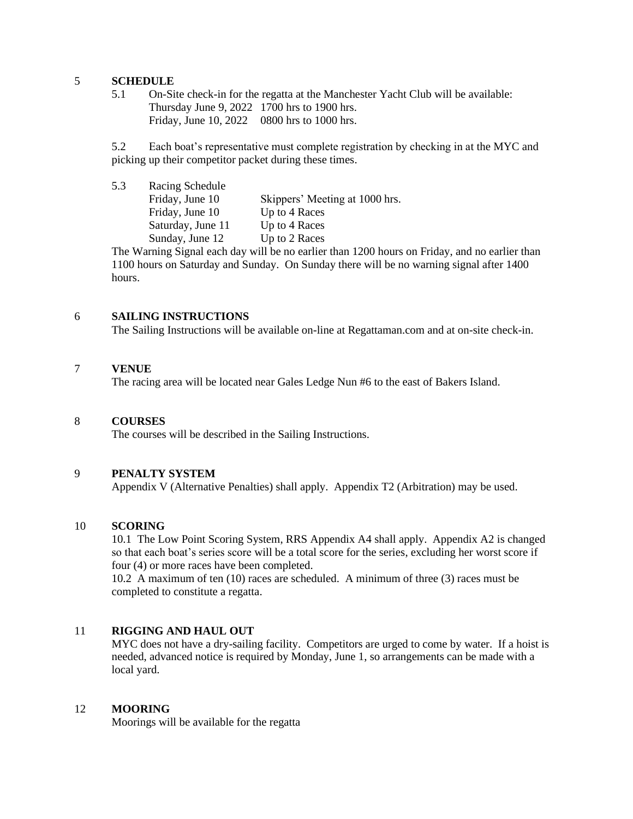# 5 **SCHEDULE**

5.1 On-Site check-in for the regatta at the Manchester Yacht Club will be available: Thursday June 9, 2022 1700 hrs to 1900 hrs. Friday, June 10, 2022 0800 hrs to 1000 hrs.

5.2 Each boat's representative must complete registration by checking in at the MYC and picking up their competitor packet during these times.

| 5.3 | Racing Schedule   |                                |
|-----|-------------------|--------------------------------|
|     | Friday, June 10   | Skippers' Meeting at 1000 hrs. |
|     | Friday, June 10   | Up to 4 Races                  |
|     | Saturday, June 11 | Up to 4 Races                  |
|     | Sunday, June 12   | Up to 2 Races                  |
|     |                   |                                |

The Warning Signal each day will be no earlier than 1200 hours on Friday, and no earlier than 1100 hours on Saturday and Sunday. On Sunday there will be no warning signal after 1400 hours.

## 6 **SAILING INSTRUCTIONS**

The Sailing Instructions will be available on-line at Regattaman.com and at on-site check-in.

## 7 **VENUE**

The racing area will be located near Gales Ledge Nun #6 to the east of Bakers Island.

#### 8 **COURSES**

The courses will be described in the Sailing Instructions.

# 9 **PENALTY SYSTEM**

Appendix V (Alternative Penalties) shall apply. Appendix T2 (Arbitration) may be used.

### 10 **SCORING**

10.1 The Low Point Scoring System, RRS Appendix A4 shall apply. Appendix A2 is changed so that each boat's series score will be a total score for the series, excluding her worst score if four (4) or more races have been completed.

10.2 A maximum of ten (10) races are scheduled. A minimum of three (3) races must be completed to constitute a regatta.

# 11 **RIGGING AND HAUL OUT**

MYC does not have a dry-sailing facility. Competitors are urged to come by water. If a hoist is needed, advanced notice is required by Monday, June 1, so arrangements can be made with a local yard.

## 12 **MOORING**

Moorings will be available for the regatta